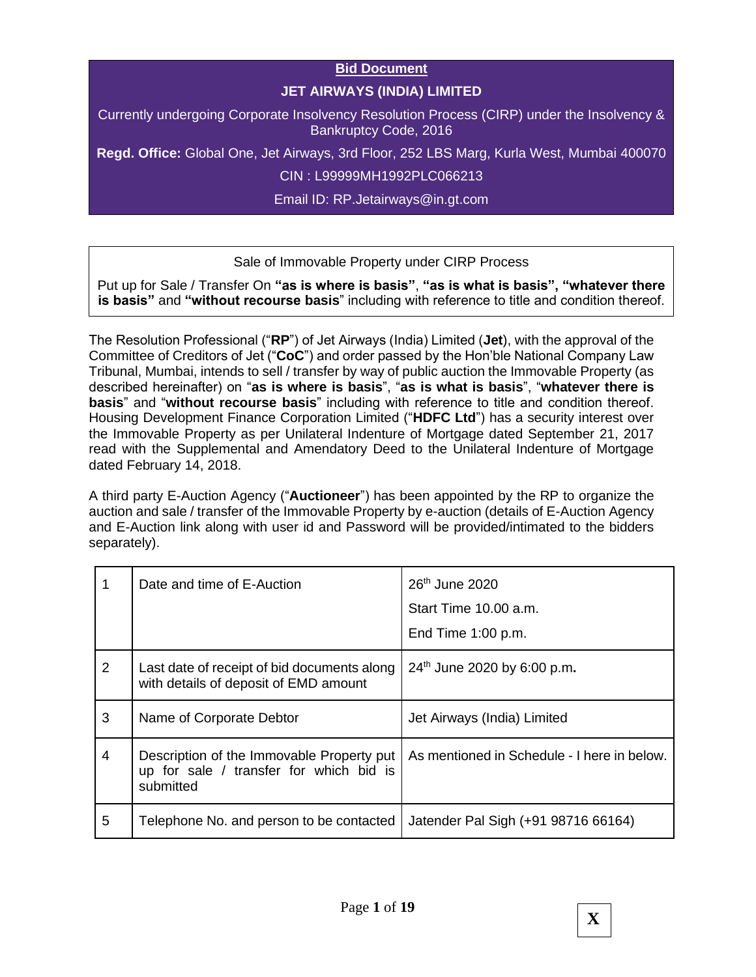#### **Bid Document**

## **JET AIRWAYS (INDIA) LIMITED**

Currently undergoing Corporate Insolvency Resolution Process (CIRP) under the Insolvency & Bankruptcy Code, 2016

**Regd. Office:** Global One, Jet Airways, 3rd Floor, 252 LBS Marg, Kurla West, Mumbai 400070

CIN : L99999MH1992PLC066213

Email ID: RP.Jetairways@in.gt.com

#### Sale of Immovable Property under CIRP Process

Put up for Sale / Transfer On **"as is where is basis"**, **"as is what is basis", "whatever there is basis"** and **"without recourse basis**" including with reference to title and condition thereof.

The Resolution Professional ("**RP**") of Jet Airways (India) Limited (**Jet**), with the approval of the Committee of Creditors of Jet ("**CoC**") and order passed by the Hon'ble National Company Law Tribunal, Mumbai, intends to sell / transfer by way of public auction the Immovable Property (as described hereinafter) on "**as is where is basis**", "**as is what is basis**", "**whatever there is basis**" and "**without recourse basis**" including with reference to title and condition thereof. Housing Development Finance Corporation Limited ("**HDFC Ltd**") has a security interest over the Immovable Property as per Unilateral Indenture of Mortgage dated September 21, 2017 read with the Supplemental and Amendatory Deed to the Unilateral Indenture of Mortgage dated February 14, 2018.

A third party E-Auction Agency ("**Auctioneer**") has been appointed by the RP to organize the auction and sale / transfer of the Immovable Property by e-auction (details of E-Auction Agency and E-Auction link along with user id and Password will be provided/intimated to the bidders separately).

|   | Date and time of E-Auction                                                                        | 26 <sup>th</sup> June 2020<br>Start Time 10.00 a.m.<br>End Time $1:00$ p.m. |
|---|---------------------------------------------------------------------------------------------------|-----------------------------------------------------------------------------|
| 2 | Last date of receipt of bid documents along<br>with details of deposit of EMD amount              | 24 <sup>th</sup> June 2020 by 6:00 p.m.                                     |
| 3 | Name of Corporate Debtor                                                                          | Jet Airways (India) Limited                                                 |
| 4 | Description of the Immovable Property put<br>up for sale / transfer for which bid is<br>submitted | As mentioned in Schedule - I here in below.                                 |
| 5 | Telephone No. and person to be contacted                                                          | Jatender Pal Sigh (+91 98716 66164)                                         |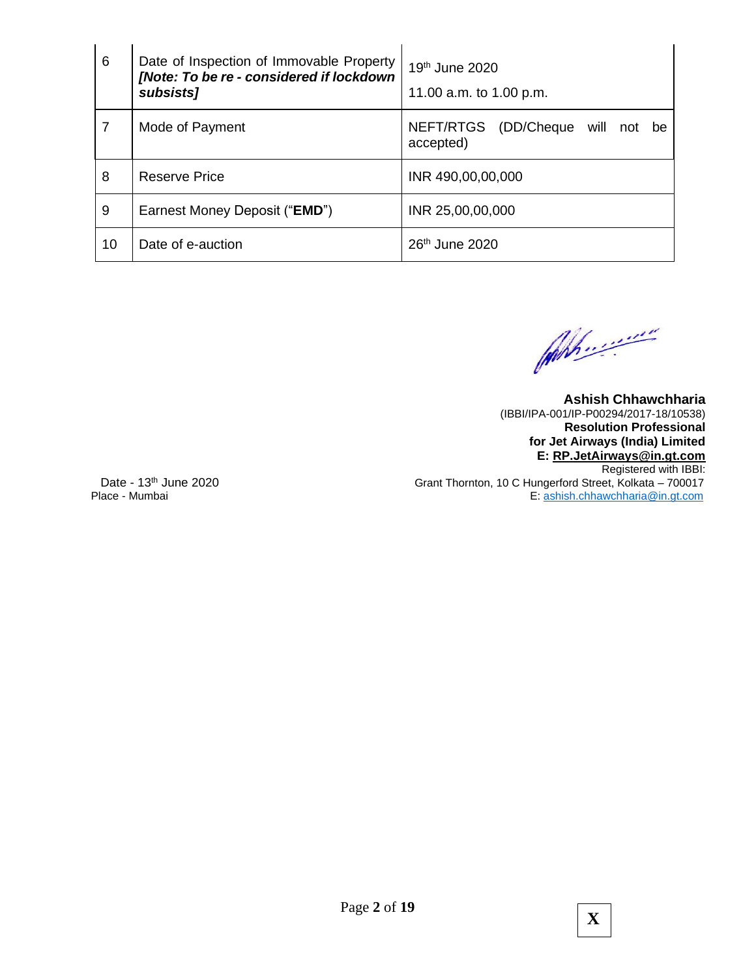| 6  | Date of Inspection of Immovable Property<br>[Note: To be re - considered if lockdown<br>subsists] | $19th$ June 2020<br>11.00 a.m. to 1.00 p.m.      |
|----|---------------------------------------------------------------------------------------------------|--------------------------------------------------|
| 7  | Mode of Payment                                                                                   | NEFT/RTGS (DD/Cheque will not<br>be<br>accepted) |
| 8  | Reserve Price                                                                                     | INR 490,00,00,000                                |
| 9  | Earnest Money Deposit (" <b>EMD</b> ")                                                            | INR 25,00,00,000                                 |
| 10 | Date of e-auction                                                                                 | 26 <sup>th</sup> June 2020                       |

John ...........

**Ashish Chhawchharia**  (IBBI/IPA-001/IP-P00294/2017-18/10538) **Resolution Professional for Jet Airways (India) Limited E: [RP.JetAirways@in.gt.com](mailto:RP.JetAirways@in.gt.com)** Registered with IBBI: Date - 13<sup>th</sup> June 2020 **Grant Thornton, 10 C Hungerford Street, Kolkata – 700017<br>E: ashish.chhawchharia@in.gt.com** E: [ashish.chhawchharia@in.gt.com](mailto:ashish.chhawchharia@in.gt.com)

Page **2** of **19**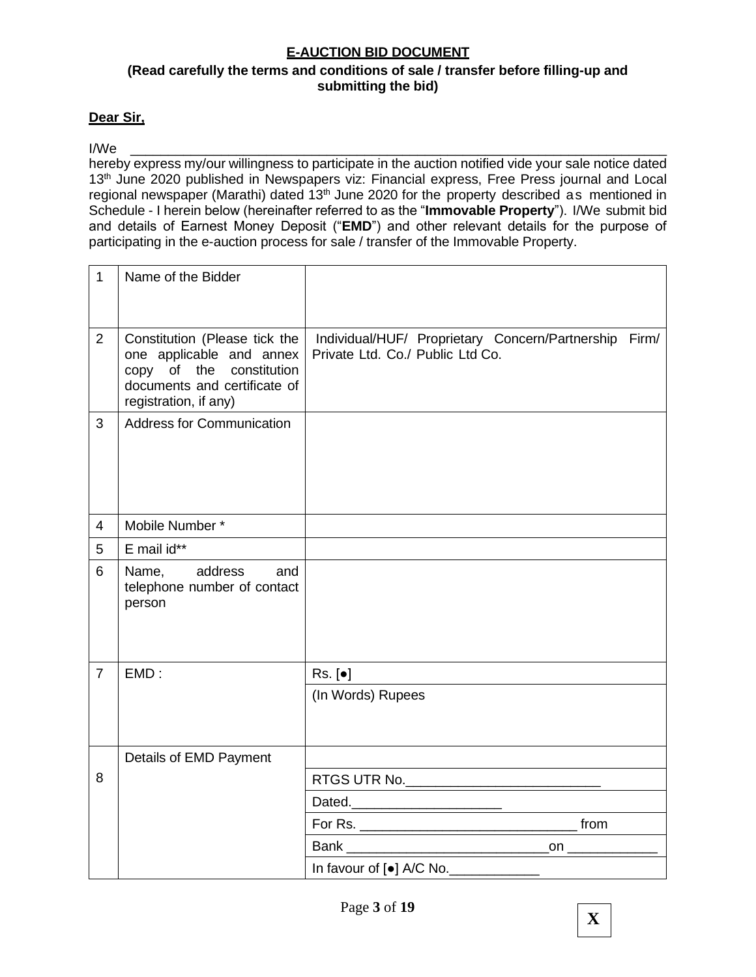## **E-AUCTION BID DOCUMENT**

## **(Read carefully the terms and conditions of sale / transfer before filling-up and submitting the bid)**

#### **Dear Sir,**

#### I/We \_\_\_\_\_\_\_\_\_\_\_\_\_\_\_\_\_\_\_\_\_\_\_\_\_\_\_\_\_\_\_\_\_\_\_\_\_\_\_\_\_\_\_\_\_\_\_\_\_\_\_\_\_\_\_\_\_\_\_\_\_\_\_\_\_\_\_\_\_\_\_

hereby express my/our willingness to participate in the auction notified vide your sale notice dated 13<sup>th</sup> June 2020 published in Newspapers viz: Financial express, Free Press journal and Local regional newspaper (Marathi) dated 13<sup>th</sup> June 2020 for the property described as mentioned in Schedule - I herein below (hereinafter referred to as the "**Immovable Property**"). I/We submit bid and details of Earnest Money Deposit ("**EMD**") and other relevant details for the purpose of participating in the e-auction process for sale / transfer of the Immovable Property.

| $\mathbf{1}$   | Name of the Bidder                                                                                                                             |                                                                                                                       |  |
|----------------|------------------------------------------------------------------------------------------------------------------------------------------------|-----------------------------------------------------------------------------------------------------------------------|--|
|                |                                                                                                                                                |                                                                                                                       |  |
| 2              | Constitution (Please tick the<br>one applicable and annex<br>copy of the constitution<br>documents and certificate of<br>registration, if any) | Individual/HUF/ Proprietary Concern/Partnership Firm/<br>Private Ltd. Co./ Public Ltd Co.                             |  |
| 3              | <b>Address for Communication</b>                                                                                                               |                                                                                                                       |  |
| $\overline{4}$ | Mobile Number*                                                                                                                                 |                                                                                                                       |  |
| 5              | E mail id**                                                                                                                                    |                                                                                                                       |  |
| 6              | Name, address<br>and<br>telephone number of contact<br>person                                                                                  |                                                                                                                       |  |
| $\overline{7}$ | EMD:                                                                                                                                           | $Rs.$ [ $\bullet$ ]                                                                                                   |  |
|                |                                                                                                                                                | (In Words) Rupees                                                                                                     |  |
|                | Details of EMD Payment                                                                                                                         | <u> 1980 - Johann Barn, mars ann an t-Amhain Aonaichte ann an t-Aonaichte ann an t-Aonaichte ann an t-Aonaichte a</u> |  |
| 8              |                                                                                                                                                | RTGS UTR No. _______________________________                                                                          |  |
|                |                                                                                                                                                | Dated.                                                                                                                |  |
|                |                                                                                                                                                |                                                                                                                       |  |
|                |                                                                                                                                                |                                                                                                                       |  |
|                |                                                                                                                                                | In favour of [ $\bullet$ ] A/C No.                                                                                    |  |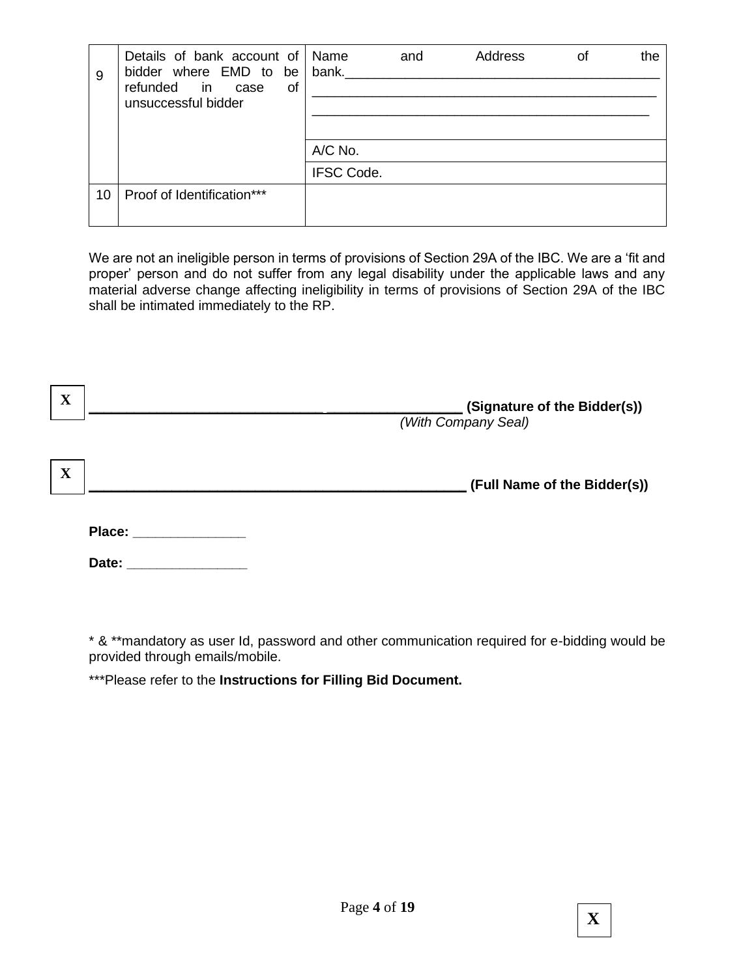| 9  | Details of bank account of<br>bidder where EMD to be<br>refunded<br>in case<br>of<br>unsuccessful bidder | Name<br>bank.     | and | Address | οf | the |
|----|----------------------------------------------------------------------------------------------------------|-------------------|-----|---------|----|-----|
|    |                                                                                                          | A/C No.           |     |         |    |     |
|    |                                                                                                          |                   |     |         |    |     |
|    |                                                                                                          | <b>IFSC Code.</b> |     |         |    |     |
| 10 | Proof of Identification***                                                                               |                   |     |         |    |     |

We are not an ineligible person in terms of provisions of Section 29A of the IBC. We are a 'fit and proper' person and do not suffer from any legal disability under the applicable laws and any material adverse change affecting ineligibility in terms of provisions of Section 29A of the IBC shall be intimated immediately to the RP.

| X           |        | (Signature of the Bidder(s))<br>(With Company Seal) |
|-------------|--------|-----------------------------------------------------|
| $\mathbf X$ |        | (Full Name of the Bidder(s))                        |
|             | Place: |                                                     |
|             | Date:  |                                                     |

\* & \*\*mandatory as user Id, password and other communication required for e-bidding would be provided through emails/mobile.

\*\*\*Please refer to the **Instructions for Filling Bid Document.**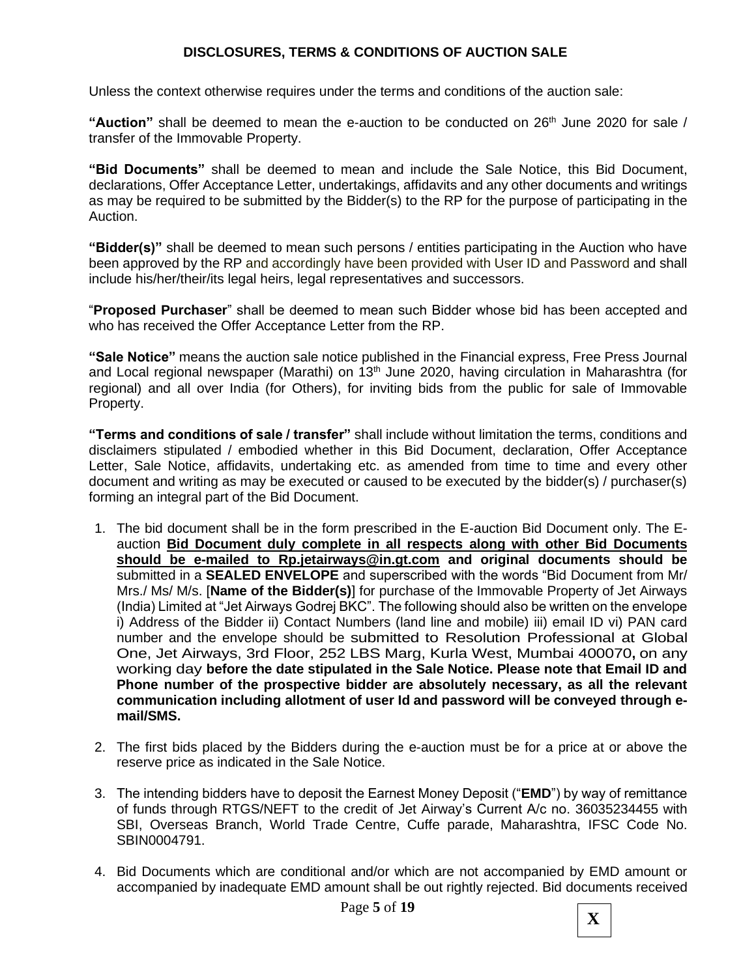## **DISCLOSURES, TERMS & CONDITIONS OF AUCTION SALE**

Unless the context otherwise requires under the terms and conditions of the auction sale:

"Auction" shall be deemed to mean the e-auction to be conducted on 26<sup>th</sup> June 2020 for sale / transfer of the Immovable Property.

**"Bid Documents"** shall be deemed to mean and include the Sale Notice, this Bid Document, declarations, Offer Acceptance Letter, undertakings, affidavits and any other documents and writings as may be required to be submitted by the Bidder(s) to the RP for the purpose of participating in the Auction.

**"Bidder(s)"** shall be deemed to mean such persons / entities participating in the Auction who have been approved by the RP and accordingly have been provided with User ID and Password and shall include his/her/their/its legal heirs, legal representatives and successors.

"**Proposed Purchaser**" shall be deemed to mean such Bidder whose bid has been accepted and who has received the Offer Acceptance Letter from the RP.

**"Sale Notice"** means the auction sale notice published in the Financial express, Free Press Journal and Local regional newspaper (Marathi) on 13<sup>th</sup> June 2020, having circulation in Maharashtra (for regional) and all over India (for Others), for inviting bids from the public for sale of Immovable Property.

**"Terms and conditions of sale / transfer"** shall include without limitation the terms, conditions and disclaimers stipulated / embodied whether in this Bid Document, declaration, Offer Acceptance Letter, Sale Notice, affidavits, undertaking etc. as amended from time to time and every other document and writing as may be executed or caused to be executed by the bidder(s) / purchaser(s) forming an integral part of the Bid Document.

- 1. The bid document shall be in the form prescribed in the E-auction Bid Document only. The Eauction **Bid Document duly complete in all respects along with other Bid Documents should be e-mailed to Rp.jetairways@in.gt.com and original documents should be** submitted in a **SEALED ENVELOPE** and superscribed with the words "Bid Document from Mr/ Mrs./ Ms/ M/s. [**Name of the Bidder(s)**] for purchase of the Immovable Property of Jet Airways (India) Limited at "Jet Airways Godrej BKC". The following should also be written on the envelope i) Address of the Bidder ii) Contact Numbers (land line and mobile) iii) email ID vi) PAN card number and the envelope should be submitted to Resolution Professional at Global One, Jet Airways, 3rd Floor, 252 LBS Marg, Kurla West, Mumbai 400070**,** on any working day **before the date stipulated in the Sale Notice. Please note that Email ID and Phone number of the prospective bidder are absolutely necessary, as all the relevant communication including allotment of user Id and password will be conveyed through email/SMS.**
- 2. The first bids placed by the Bidders during the e-auction must be for a price at or above the reserve price as indicated in the Sale Notice.
- 3. The intending bidders have to deposit the Earnest Money Deposit ("**EMD**") by way of remittance of funds through RTGS/NEFT to the credit of Jet Airway's Current A/c no. 36035234455 with SBI, Overseas Branch, World Trade Centre, Cuffe parade, Maharashtra, IFSC Code No. SBIN0004791.
- 4. Bid Documents which are conditional and/or which are not accompanied by EMD amount or accompanied by inadequate EMD amount shall be out rightly rejected. Bid documents received

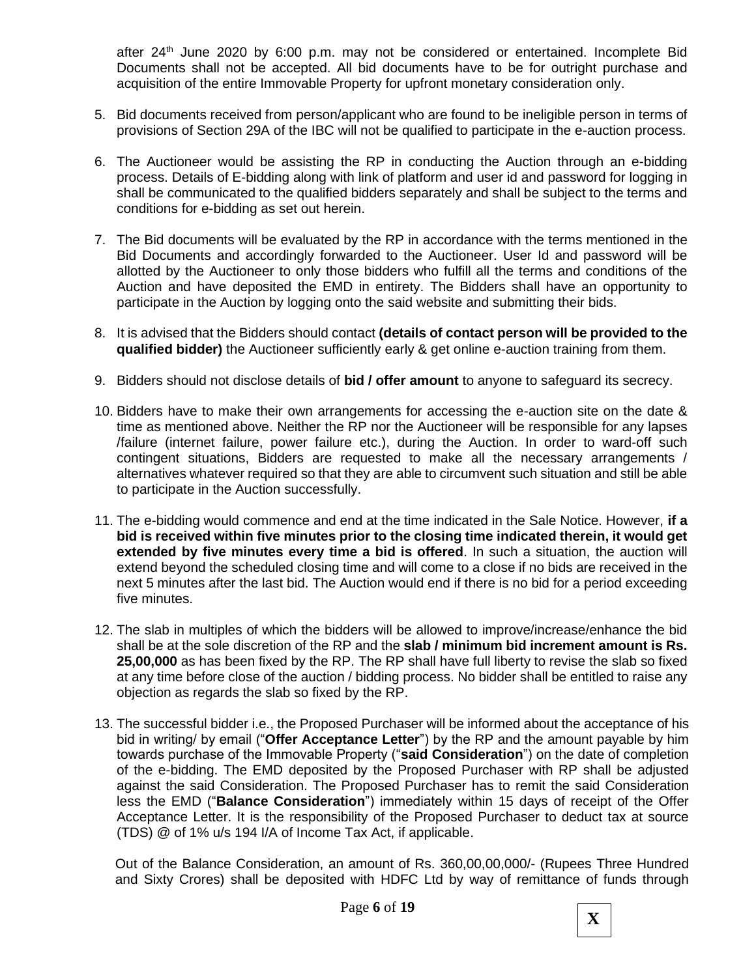after 24<sup>th</sup> June 2020 by 6:00 p.m. may not be considered or entertained. Incomplete Bid Documents shall not be accepted. All bid documents have to be for outright purchase and acquisition of the entire Immovable Property for upfront monetary consideration only.

- 5. Bid documents received from person/applicant who are found to be ineligible person in terms of provisions of Section 29A of the IBC will not be qualified to participate in the e-auction process.
- 6. The Auctioneer would be assisting the RP in conducting the Auction through an e-bidding process. Details of E-bidding along with link of platform and user id and password for logging in shall be communicated to the qualified bidders separately and shall be subject to the terms and conditions for e-bidding as set out herein.
- 7. The Bid documents will be evaluated by the RP in accordance with the terms mentioned in the Bid Documents and accordingly forwarded to the Auctioneer. User Id and password will be allotted by the Auctioneer to only those bidders who fulfill all the terms and conditions of the Auction and have deposited the EMD in entirety. The Bidders shall have an opportunity to participate in the Auction by logging onto the said website and submitting their bids.
- 8. It is advised that the Bidders should contact **(details of contact person will be provided to the qualified bidder)** the Auctioneer sufficiently early & get online e-auction training from them.
- 9. Bidders should not disclose details of **bid / offer amount** to anyone to safeguard its secrecy.
- 10. Bidders have to make their own arrangements for accessing the e-auction site on the date & time as mentioned above. Neither the RP nor the Auctioneer will be responsible for any lapses /failure (internet failure, power failure etc.), during the Auction. In order to ward-off such contingent situations, Bidders are requested to make all the necessary arrangements / alternatives whatever required so that they are able to circumvent such situation and still be able to participate in the Auction successfully.
- 11. The e-bidding would commence and end at the time indicated in the Sale Notice. However, **if a bid is received within five minutes prior to the closing time indicated therein, it would get extended by five minutes every time a bid is offered**. In such a situation, the auction will extend beyond the scheduled closing time and will come to a close if no bids are received in the next 5 minutes after the last bid. The Auction would end if there is no bid for a period exceeding five minutes.
- 12. The slab in multiples of which the bidders will be allowed to improve/increase/enhance the bid shall be at the sole discretion of the RP and the **slab / minimum bid increment amount is Rs. 25,00,000** as has been fixed by the RP. The RP shall have full liberty to revise the slab so fixed at any time before close of the auction / bidding process. No bidder shall be entitled to raise any objection as regards the slab so fixed by the RP.
- 13. The successful bidder i.e., the Proposed Purchaser will be informed about the acceptance of his bid in writing/ by email ("**Offer Acceptance Letter**") by the RP and the amount payable by him towards purchase of the Immovable Property ("**said Consideration**") on the date of completion of the e-bidding. The EMD deposited by the Proposed Purchaser with RP shall be adjusted against the said Consideration. The Proposed Purchaser has to remit the said Consideration less the EMD ("**Balance Consideration**") immediately within 15 days of receipt of the Offer Acceptance Letter. It is the responsibility of the Proposed Purchaser to deduct tax at source (TDS) @ of 1% u/s 194 I/A of Income Tax Act, if applicable.

Out of the Balance Consideration, an amount of Rs. 360,00,00,000/- (Rupees Three Hundred and Sixty Crores) shall be deposited with HDFC Ltd by way of remittance of funds through

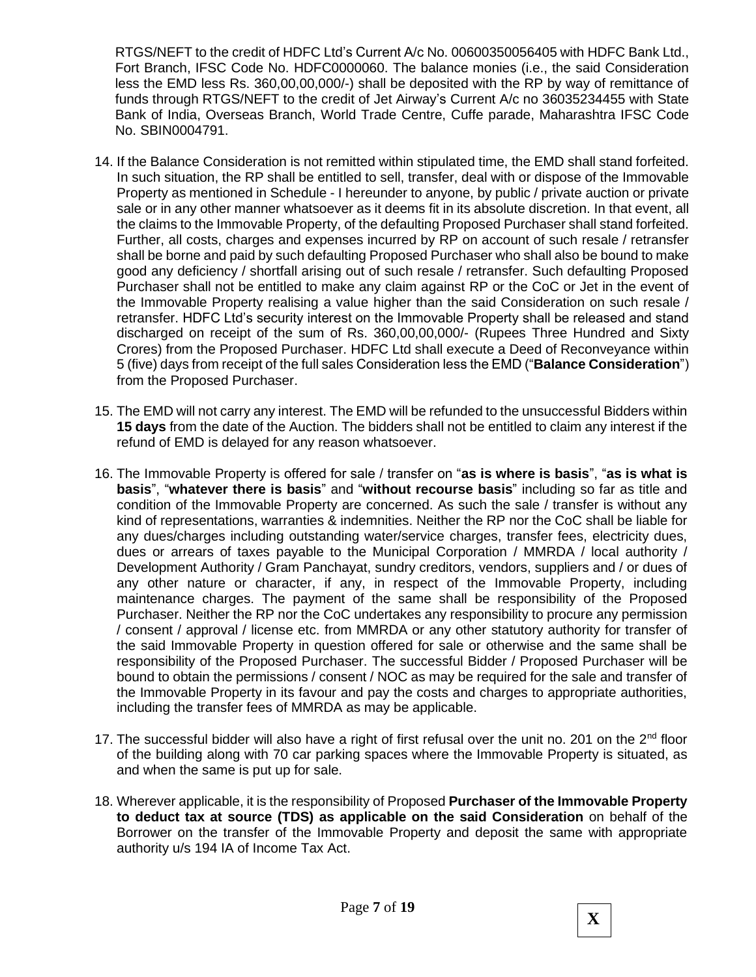RTGS/NEFT to the credit of HDFC Ltd's Current A/c No. 00600350056405 with HDFC Bank Ltd., Fort Branch, IFSC Code No. HDFC0000060. The balance monies (i.e., the said Consideration less the EMD less Rs. 360,00,00,000/-) shall be deposited with the RP by way of remittance of funds through RTGS/NEFT to the credit of Jet Airway's Current A/c no 36035234455 with State Bank of India, Overseas Branch, World Trade Centre, Cuffe parade, Maharashtra IFSC Code No. SBIN0004791.

- 14. If the Balance Consideration is not remitted within stipulated time, the EMD shall stand forfeited. In such situation, the RP shall be entitled to sell, transfer, deal with or dispose of the Immovable Property as mentioned in Schedule - I hereunder to anyone, by public / private auction or private sale or in any other manner whatsoever as it deems fit in its absolute discretion. In that event, all the claims to the Immovable Property, of the defaulting Proposed Purchaser shall stand forfeited. Further, all costs, charges and expenses incurred by RP on account of such resale / retransfer shall be borne and paid by such defaulting Proposed Purchaser who shall also be bound to make good any deficiency / shortfall arising out of such resale / retransfer. Such defaulting Proposed Purchaser shall not be entitled to make any claim against RP or the CoC or Jet in the event of the Immovable Property realising a value higher than the said Consideration on such resale / retransfer. HDFC Ltd's security interest on the Immovable Property shall be released and stand discharged on receipt of the sum of Rs. 360,00,00,000/- (Rupees Three Hundred and Sixty Crores) from the Proposed Purchaser. HDFC Ltd shall execute a Deed of Reconveyance within 5 (five) days from receipt of the full sales Consideration less the EMD ("**Balance Consideration**") from the Proposed Purchaser.
- 15. The EMD will not carry any interest. The EMD will be refunded to the unsuccessful Bidders within **15 days** from the date of the Auction. The bidders shall not be entitled to claim any interest if the refund of EMD is delayed for any reason whatsoever.
- 16. The Immovable Property is offered for sale / transfer on "**as is where is basis**", "**as is what is basis**", "**whatever there is basis**" and "**without recourse basis**" including so far as title and condition of the Immovable Property are concerned. As such the sale / transfer is without any kind of representations, warranties & indemnities. Neither the RP nor the CoC shall be liable for any dues/charges including outstanding water/service charges, transfer fees, electricity dues, dues or arrears of taxes payable to the Municipal Corporation / MMRDA / local authority / Development Authority / Gram Panchayat, sundry creditors, vendors, suppliers and / or dues of any other nature or character, if any, in respect of the Immovable Property, including maintenance charges. The payment of the same shall be responsibility of the Proposed Purchaser. Neither the RP nor the CoC undertakes any responsibility to procure any permission / consent / approval / license etc. from MMRDA or any other statutory authority for transfer of the said Immovable Property in question offered for sale or otherwise and the same shall be responsibility of the Proposed Purchaser. The successful Bidder / Proposed Purchaser will be bound to obtain the permissions / consent / NOC as may be required for the sale and transfer of the Immovable Property in its favour and pay the costs and charges to appropriate authorities, including the transfer fees of MMRDA as may be applicable.
- 17. The successful bidder will also have a right of first refusal over the unit no. 201 on the  $2^{nd}$  floor of the building along with 70 car parking spaces where the Immovable Property is situated, as and when the same is put up for sale.
- 18. Wherever applicable, it is the responsibility of Proposed **Purchaser of the Immovable Property to deduct tax at source (TDS) as applicable on the said Consideration** on behalf of the Borrower on the transfer of the Immovable Property and deposit the same with appropriate authority u/s 194 IA of Income Tax Act.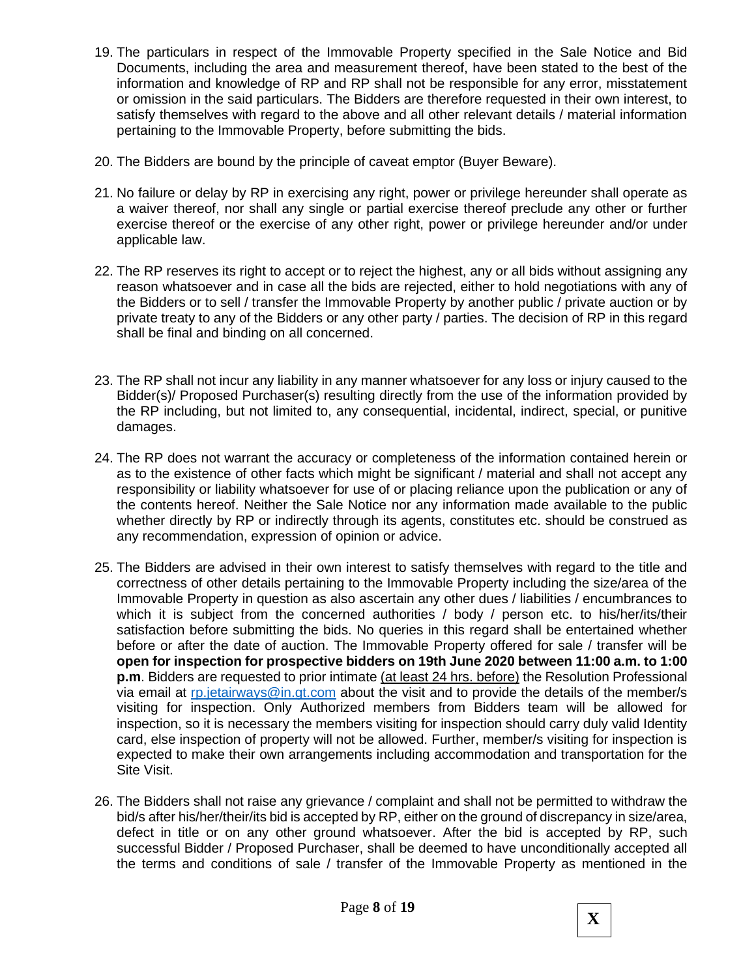- 19. The particulars in respect of the Immovable Property specified in the Sale Notice and Bid Documents, including the area and measurement thereof, have been stated to the best of the information and knowledge of RP and RP shall not be responsible for any error, misstatement or omission in the said particulars. The Bidders are therefore requested in their own interest, to satisfy themselves with regard to the above and all other relevant details / material information pertaining to the Immovable Property, before submitting the bids.
- 20. The Bidders are bound by the principle of caveat emptor (Buyer Beware).
- 21. No failure or delay by RP in exercising any right, power or privilege hereunder shall operate as a waiver thereof, nor shall any single or partial exercise thereof preclude any other or further exercise thereof or the exercise of any other right, power or privilege hereunder and/or under applicable law.
- 22. The RP reserves its right to accept or to reject the highest, any or all bids without assigning any reason whatsoever and in case all the bids are rejected, either to hold negotiations with any of the Bidders or to sell / transfer the Immovable Property by another public / private auction or by private treaty to any of the Bidders or any other party / parties. The decision of RP in this regard shall be final and binding on all concerned.
- 23. The RP shall not incur any liability in any manner whatsoever for any loss or injury caused to the Bidder(s)/ Proposed Purchaser(s) resulting directly from the use of the information provided by the RP including, but not limited to, any consequential, incidental, indirect, special, or punitive damages.
- 24. The RP does not warrant the accuracy or completeness of the information contained herein or as to the existence of other facts which might be significant / material and shall not accept any responsibility or liability whatsoever for use of or placing reliance upon the publication or any of the contents hereof. Neither the Sale Notice nor any information made available to the public whether directly by RP or indirectly through its agents, constitutes etc. should be construed as any recommendation, expression of opinion or advice.
- 25. The Bidders are advised in their own interest to satisfy themselves with regard to the title and correctness of other details pertaining to the Immovable Property including the size/area of the Immovable Property in question as also ascertain any other dues / liabilities / encumbrances to which it is subject from the concerned authorities / body / person etc. to his/her/its/their satisfaction before submitting the bids. No queries in this regard shall be entertained whether before or after the date of auction. The Immovable Property offered for sale / transfer will be **open for inspection for prospective bidders on 19th June 2020 between 11:00 a.m. to 1:00 p.m**. Bidders are requested to prior intimate (at least 24 hrs. before) the Resolution Professional via email at [rp.jetairways@in.gt.com](mailto:rp.jetairways@in.gt.com) about the visit and to provide the details of the member/s visiting for inspection. Only Authorized members from Bidders team will be allowed for inspection, so it is necessary the members visiting for inspection should carry duly valid Identity card, else inspection of property will not be allowed. Further, member/s visiting for inspection is expected to make their own arrangements including accommodation and transportation for the Site Visit.
- 26. The Bidders shall not raise any grievance / complaint and shall not be permitted to withdraw the bid/s after his/her/their/its bid is accepted by RP, either on the ground of discrepancy in size/area, defect in title or on any other ground whatsoever. After the bid is accepted by RP, such successful Bidder / Proposed Purchaser, shall be deemed to have unconditionally accepted all the terms and conditions of sale / transfer of the Immovable Property as mentioned in the

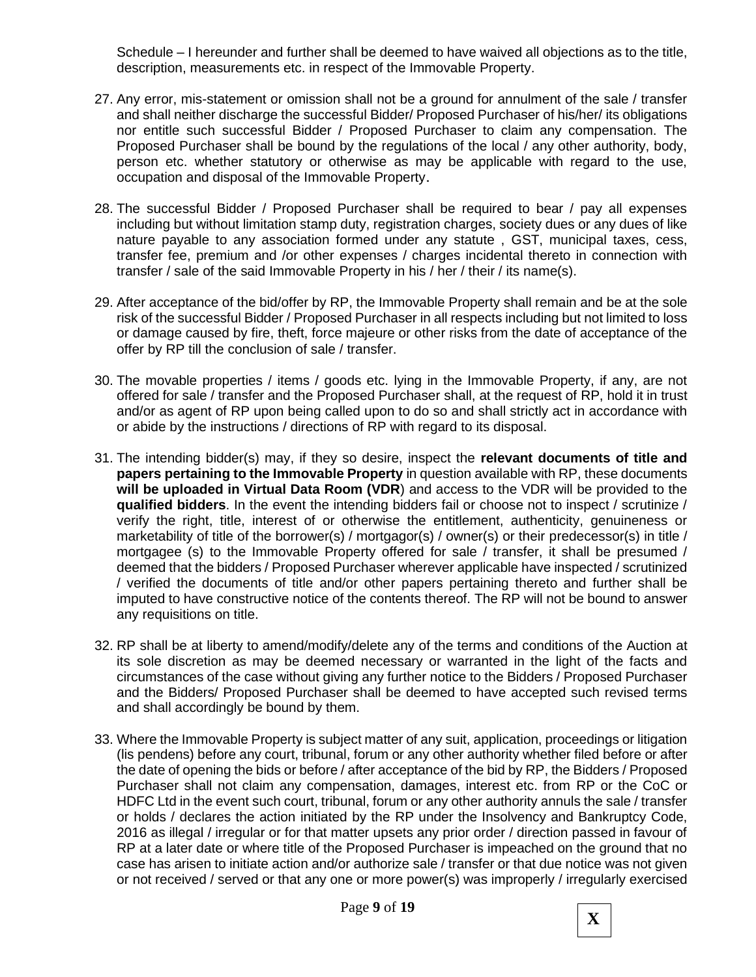Schedule – I hereunder and further shall be deemed to have waived all objections as to the title, description, measurements etc. in respect of the Immovable Property.

- 27. Any error, mis-statement or omission shall not be a ground for annulment of the sale / transfer and shall neither discharge the successful Bidder/ Proposed Purchaser of his/her/ its obligations nor entitle such successful Bidder / Proposed Purchaser to claim any compensation. The Proposed Purchaser shall be bound by the regulations of the local / any other authority, body, person etc. whether statutory or otherwise as may be applicable with regard to the use, occupation and disposal of the Immovable Property.
- 28. The successful Bidder / Proposed Purchaser shall be required to bear / pay all expenses including but without limitation stamp duty, registration charges, society dues or any dues of like nature payable to any association formed under any statute , GST, municipal taxes, cess, transfer fee, premium and /or other expenses / charges incidental thereto in connection with transfer / sale of the said Immovable Property in his / her / their / its name(s).
- 29. After acceptance of the bid/offer by RP, the Immovable Property shall remain and be at the sole risk of the successful Bidder / Proposed Purchaser in all respects including but not limited to loss or damage caused by fire, theft, force majeure or other risks from the date of acceptance of the offer by RP till the conclusion of sale / transfer.
- 30. The movable properties / items / goods etc. lying in the Immovable Property, if any, are not offered for sale / transfer and the Proposed Purchaser shall, at the request of RP, hold it in trust and/or as agent of RP upon being called upon to do so and shall strictly act in accordance with or abide by the instructions / directions of RP with regard to its disposal.
- 31. The intending bidder(s) may, if they so desire, inspect the **relevant documents of title and papers pertaining to the Immovable Property** in question available with RP, these documents **will be uploaded in Virtual Data Room (VDR**) and access to the VDR will be provided to the **qualified bidders**. In the event the intending bidders fail or choose not to inspect / scrutinize / verify the right, title, interest of or otherwise the entitlement, authenticity, genuineness or marketability of title of the borrower(s) / mortgagor(s) / owner(s) or their predecessor(s) in title / mortgagee (s) to the Immovable Property offered for sale / transfer, it shall be presumed / deemed that the bidders / Proposed Purchaser wherever applicable have inspected / scrutinized / verified the documents of title and/or other papers pertaining thereto and further shall be imputed to have constructive notice of the contents thereof. The RP will not be bound to answer any requisitions on title.
- 32. RP shall be at liberty to amend/modify/delete any of the terms and conditions of the Auction at its sole discretion as may be deemed necessary or warranted in the light of the facts and circumstances of the case without giving any further notice to the Bidders / Proposed Purchaser and the Bidders/ Proposed Purchaser shall be deemed to have accepted such revised terms and shall accordingly be bound by them.
- 33. Where the Immovable Property is subject matter of any suit, application, proceedings or litigation (lis pendens) before any court, tribunal, forum or any other authority whether filed before or after the date of opening the bids or before / after acceptance of the bid by RP, the Bidders / Proposed Purchaser shall not claim any compensation, damages, interest etc. from RP or the CoC or HDFC Ltd in the event such court, tribunal, forum or any other authority annuls the sale / transfer or holds / declares the action initiated by the RP under the Insolvency and Bankruptcy Code, 2016 as illegal / irregular or for that matter upsets any prior order / direction passed in favour of RP at a later date or where title of the Proposed Purchaser is impeached on the ground that no case has arisen to initiate action and/or authorize sale / transfer or that due notice was not given or not received / served or that any one or more power(s) was improperly / irregularly exercised

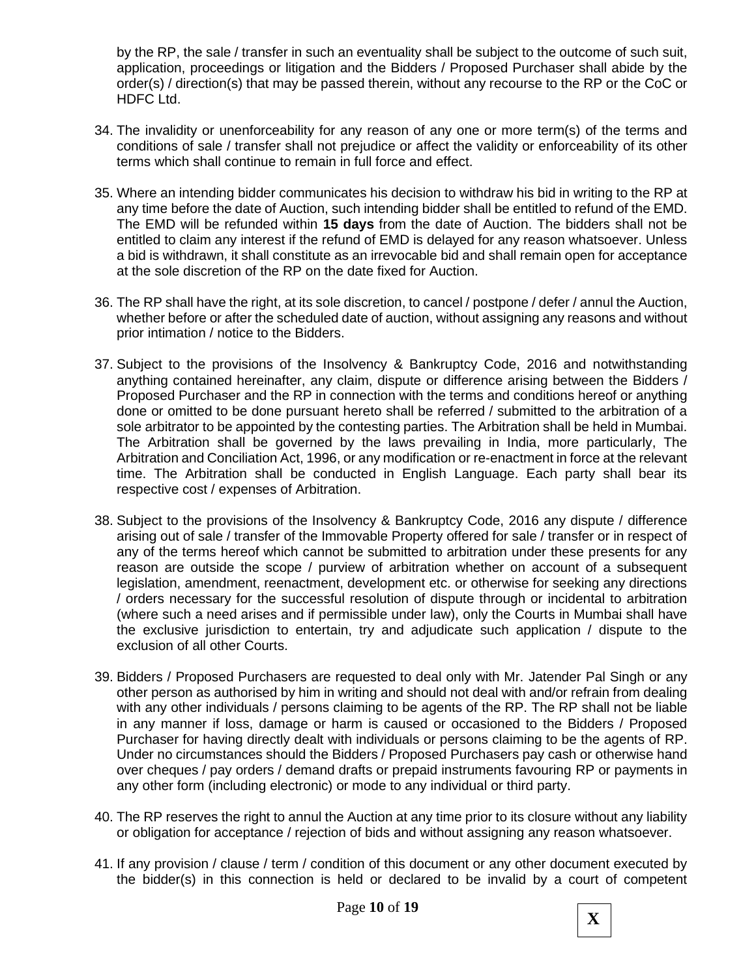by the RP, the sale / transfer in such an eventuality shall be subject to the outcome of such suit, application, proceedings or litigation and the Bidders / Proposed Purchaser shall abide by the order(s) / direction(s) that may be passed therein, without any recourse to the RP or the CoC or HDFC Ltd.

- 34. The invalidity or unenforceability for any reason of any one or more term(s) of the terms and conditions of sale / transfer shall not prejudice or affect the validity or enforceability of its other terms which shall continue to remain in full force and effect.
- 35. Where an intending bidder communicates his decision to withdraw his bid in writing to the RP at any time before the date of Auction, such intending bidder shall be entitled to refund of the EMD. The EMD will be refunded within **15 days** from the date of Auction. The bidders shall not be entitled to claim any interest if the refund of EMD is delayed for any reason whatsoever. Unless a bid is withdrawn, it shall constitute as an irrevocable bid and shall remain open for acceptance at the sole discretion of the RP on the date fixed for Auction.
- 36. The RP shall have the right, at its sole discretion, to cancel / postpone / defer / annul the Auction, whether before or after the scheduled date of auction, without assigning any reasons and without prior intimation / notice to the Bidders.
- 37. Subject to the provisions of the Insolvency & Bankruptcy Code, 2016 and notwithstanding anything contained hereinafter, any claim, dispute or difference arising between the Bidders / Proposed Purchaser and the RP in connection with the terms and conditions hereof or anything done or omitted to be done pursuant hereto shall be referred / submitted to the arbitration of a sole arbitrator to be appointed by the contesting parties. The Arbitration shall be held in Mumbai. The Arbitration shall be governed by the laws prevailing in India, more particularly, The Arbitration and Conciliation Act, 1996, or any modification or re-enactment in force at the relevant time. The Arbitration shall be conducted in English Language. Each party shall bear its respective cost / expenses of Arbitration.
- 38. Subject to the provisions of the Insolvency & Bankruptcy Code, 2016 any dispute / difference arising out of sale / transfer of the Immovable Property offered for sale / transfer or in respect of any of the terms hereof which cannot be submitted to arbitration under these presents for any reason are outside the scope / purview of arbitration whether on account of a subsequent legislation, amendment, reenactment, development etc. or otherwise for seeking any directions / orders necessary for the successful resolution of dispute through or incidental to arbitration (where such a need arises and if permissible under law), only the Courts in Mumbai shall have the exclusive jurisdiction to entertain, try and adjudicate such application / dispute to the exclusion of all other Courts.
- 39. Bidders / Proposed Purchasers are requested to deal only with Mr. Jatender Pal Singh or any other person as authorised by him in writing and should not deal with and/or refrain from dealing with any other individuals / persons claiming to be agents of the RP. The RP shall not be liable in any manner if loss, damage or harm is caused or occasioned to the Bidders / Proposed Purchaser for having directly dealt with individuals or persons claiming to be the agents of RP. Under no circumstances should the Bidders / Proposed Purchasers pay cash or otherwise hand over cheques / pay orders / demand drafts or prepaid instruments favouring RP or payments in any other form (including electronic) or mode to any individual or third party.
- 40. The RP reserves the right to annul the Auction at any time prior to its closure without any liability or obligation for acceptance / rejection of bids and without assigning any reason whatsoever.
- 41. If any provision / clause / term / condition of this document or any other document executed by the bidder(s) in this connection is held or declared to be invalid by a court of competent

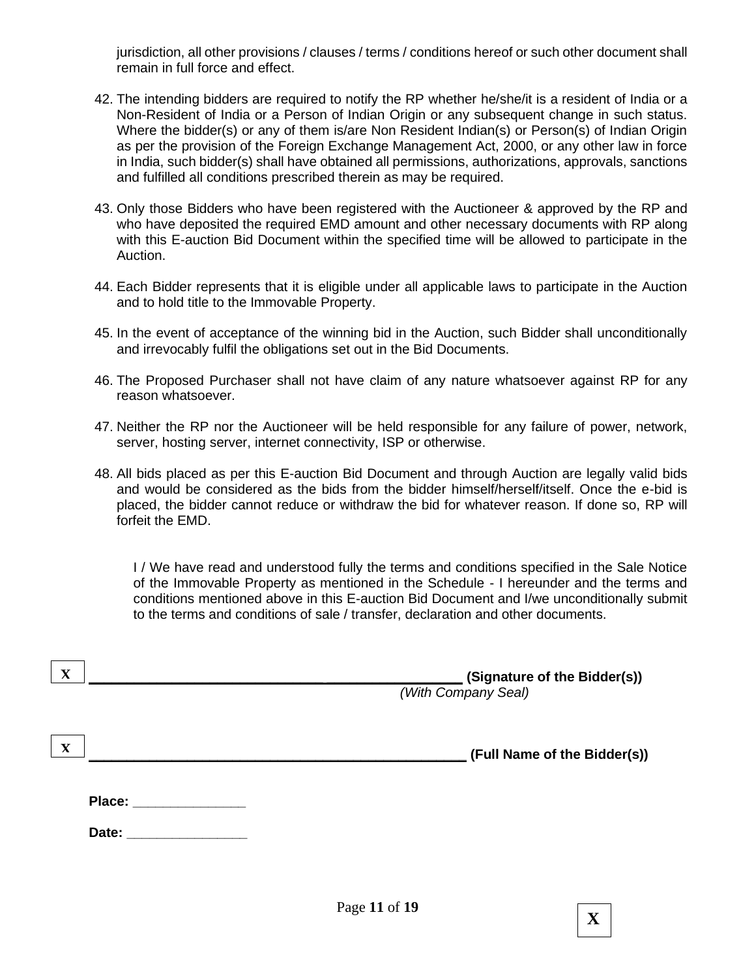jurisdiction, all other provisions / clauses / terms / conditions hereof or such other document shall remain in full force and effect.

- 42. The intending bidders are required to notify the RP whether he/she/it is a resident of India or a Non-Resident of India or a Person of Indian Origin or any subsequent change in such status. Where the bidder(s) or any of them is/are Non Resident Indian(s) or Person(s) of Indian Origin as per the provision of the Foreign Exchange Management Act, 2000, or any other law in force in India, such bidder(s) shall have obtained all permissions, authorizations, approvals, sanctions and fulfilled all conditions prescribed therein as may be required.
- 43. Only those Bidders who have been registered with the Auctioneer & approved by the RP and who have deposited the required EMD amount and other necessary documents with RP along with this E-auction Bid Document within the specified time will be allowed to participate in the Auction.
- 44. Each Bidder represents that it is eligible under all applicable laws to participate in the Auction and to hold title to the Immovable Property.
- 45. In the event of acceptance of the winning bid in the Auction, such Bidder shall unconditionally and irrevocably fulfil the obligations set out in the Bid Documents.
- 46. The Proposed Purchaser shall not have claim of any nature whatsoever against RP for any reason whatsoever.
- 47. Neither the RP nor the Auctioneer will be held responsible for any failure of power, network, server, hosting server, internet connectivity, ISP or otherwise.
- 48. All bids placed as per this E-auction Bid Document and through Auction are legally valid bids and would be considered as the bids from the bidder himself/herself/itself. Once the e-bid is placed, the bidder cannot reduce or withdraw the bid for whatever reason. If done so, RP will forfeit the EMD.

I / We have read and understood fully the terms and conditions specified in the Sale Notice of the Immovable Property as mentioned in the Schedule - I hereunder and the terms and conditions mentioned above in this E-auction Bid Document and I/we unconditionally submit to the terms and conditions of sale / transfer, declaration and other documents.

| $\boldsymbol{\mathrm{X}}$ | (Signature of the Bidder(s))<br>(With Company Seal) |
|---------------------------|-----------------------------------------------------|
| $\mathbf{X}$              | (Full Name of the Bidder(s))                        |
| Place: _______________    |                                                     |
| Date:                     |                                                     |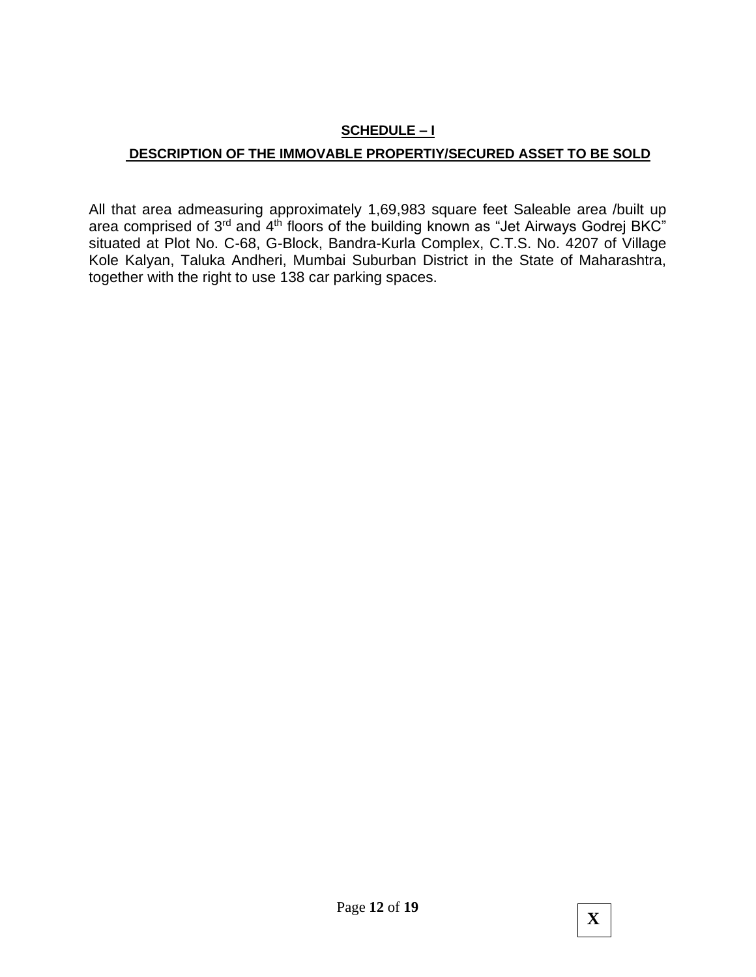# **SCHEDULE – I**

## **DESCRIPTION OF THE IMMOVABLE PROPERTIY/SECURED ASSET TO BE SOLD**

All that area admeasuring approximately 1,69,983 square feet Saleable area /built up area comprised of 3<sup>rd</sup> and 4<sup>th</sup> floors of the building known as "Jet Airways Godrej BKC" situated at Plot No. C-68, G-Block, Bandra-Kurla Complex, C.T.S. No. 4207 of Village Kole Kalyan, Taluka Andheri, Mumbai Suburban District in the State of Maharashtra, together with the right to use 138 car parking spaces.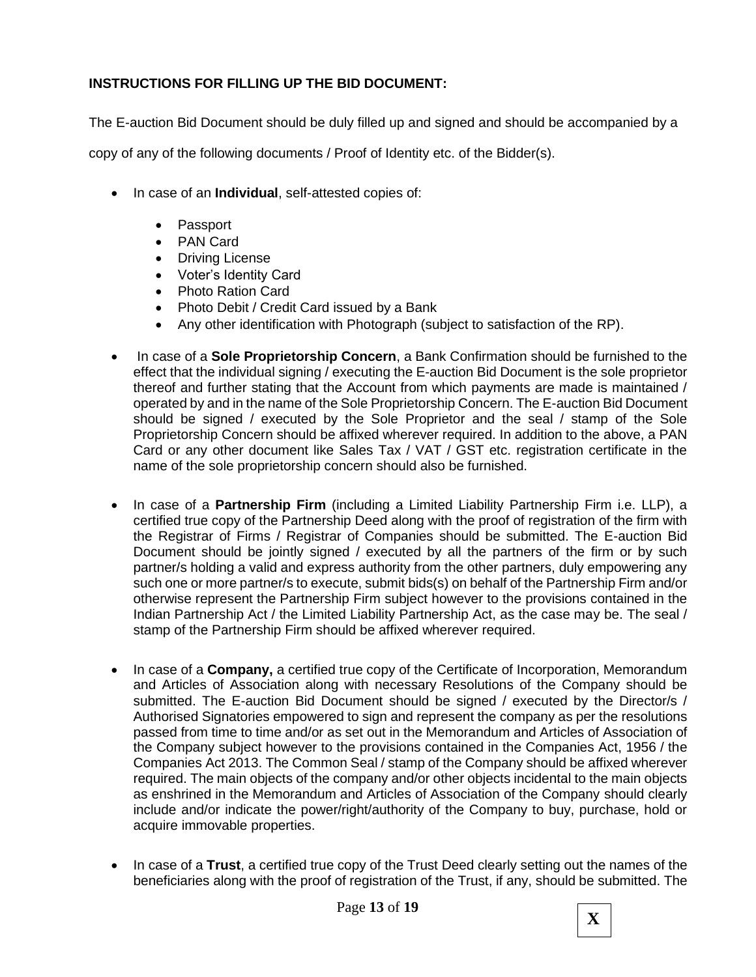## **INSTRUCTIONS FOR FILLING UP THE BID DOCUMENT:**

The E-auction Bid Document should be duly filled up and signed and should be accompanied by a

copy of any of the following documents / Proof of Identity etc. of the Bidder(s).

- In case of an **Individual**, self-attested copies of:
	- Passport
	- PAN Card
	- Driving License
	- Voter's Identity Card
	- Photo Ration Card
	- Photo Debit / Credit Card issued by a Bank
	- Any other identification with Photograph (subject to satisfaction of the RP).
- In case of a **Sole Proprietorship Concern**, a Bank Confirmation should be furnished to the effect that the individual signing / executing the E-auction Bid Document is the sole proprietor thereof and further stating that the Account from which payments are made is maintained / operated by and in the name of the Sole Proprietorship Concern. The E-auction Bid Document should be signed / executed by the Sole Proprietor and the seal / stamp of the Sole Proprietorship Concern should be affixed wherever required. In addition to the above, a PAN Card or any other document like Sales Tax / VAT / GST etc. registration certificate in the name of the sole proprietorship concern should also be furnished.
- In case of a **Partnership Firm** (including a Limited Liability Partnership Firm i.e. LLP), a certified true copy of the Partnership Deed along with the proof of registration of the firm with the Registrar of Firms / Registrar of Companies should be submitted. The E-auction Bid Document should be jointly signed / executed by all the partners of the firm or by such partner/s holding a valid and express authority from the other partners, duly empowering any such one or more partner/s to execute, submit bids(s) on behalf of the Partnership Firm and/or otherwise represent the Partnership Firm subject however to the provisions contained in the Indian Partnership Act / the Limited Liability Partnership Act, as the case may be. The seal / stamp of the Partnership Firm should be affixed wherever required.
- In case of a **Company,** a certified true copy of the Certificate of Incorporation, Memorandum and Articles of Association along with necessary Resolutions of the Company should be submitted. The E-auction Bid Document should be signed / executed by the Director/s / Authorised Signatories empowered to sign and represent the company as per the resolutions passed from time to time and/or as set out in the Memorandum and Articles of Association of the Company subject however to the provisions contained in the Companies Act, 1956 / the Companies Act 2013. The Common Seal / stamp of the Company should be affixed wherever required. The main objects of the company and/or other objects incidental to the main objects as enshrined in the Memorandum and Articles of Association of the Company should clearly include and/or indicate the power/right/authority of the Company to buy, purchase, hold or acquire immovable properties.
- In case of a **Trust**, a certified true copy of the Trust Deed clearly setting out the names of the beneficiaries along with the proof of registration of the Trust, if any, should be submitted. The

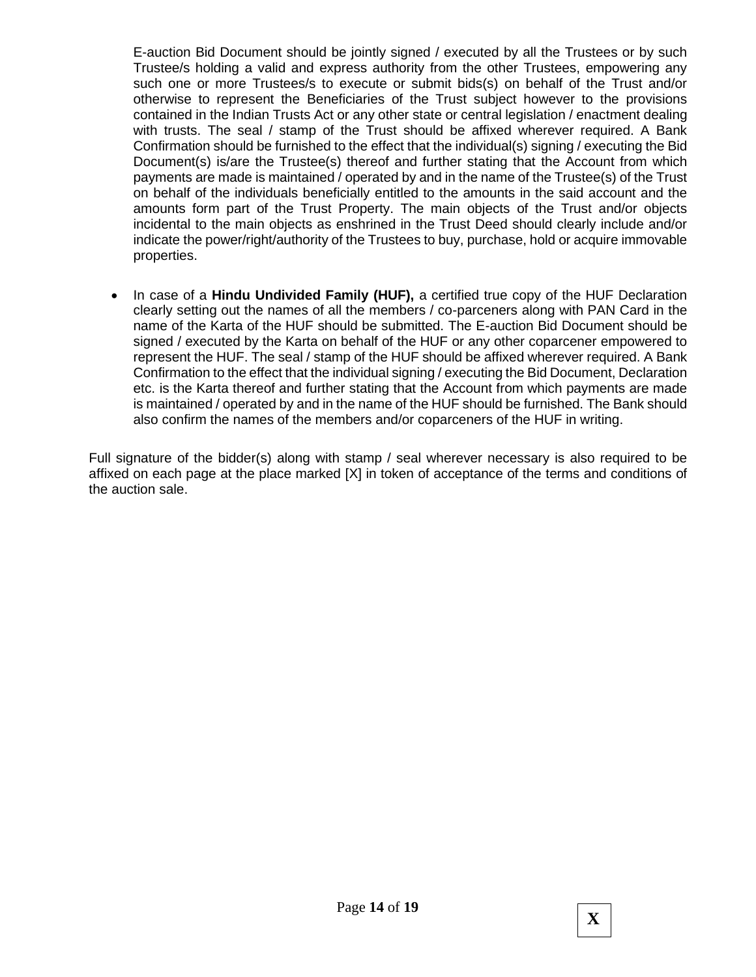E-auction Bid Document should be jointly signed / executed by all the Trustees or by such Trustee/s holding a valid and express authority from the other Trustees, empowering any such one or more Trustees/s to execute or submit bids(s) on behalf of the Trust and/or otherwise to represent the Beneficiaries of the Trust subject however to the provisions contained in the Indian Trusts Act or any other state or central legislation / enactment dealing with trusts. The seal / stamp of the Trust should be affixed wherever required. A Bank Confirmation should be furnished to the effect that the individual(s) signing / executing the Bid Document(s) is/are the Trustee(s) thereof and further stating that the Account from which payments are made is maintained / operated by and in the name of the Trustee(s) of the Trust on behalf of the individuals beneficially entitled to the amounts in the said account and the amounts form part of the Trust Property. The main objects of the Trust and/or objects incidental to the main objects as enshrined in the Trust Deed should clearly include and/or indicate the power/right/authority of the Trustees to buy, purchase, hold or acquire immovable properties.

• In case of a **Hindu Undivided Family (HUF),** a certified true copy of the HUF Declaration clearly setting out the names of all the members / co-parceners along with PAN Card in the name of the Karta of the HUF should be submitted. The E-auction Bid Document should be signed / executed by the Karta on behalf of the HUF or any other coparcener empowered to represent the HUF. The seal / stamp of the HUF should be affixed wherever required. A Bank Confirmation to the effect that the individual signing / executing the Bid Document, Declaration etc. is the Karta thereof and further stating that the Account from which payments are made is maintained / operated by and in the name of the HUF should be furnished. The Bank should also confirm the names of the members and/or coparceners of the HUF in writing.

Full signature of the bidder(s) along with stamp / seal wherever necessary is also required to be affixed on each page at the place marked [X] in token of acceptance of the terms and conditions of the auction sale.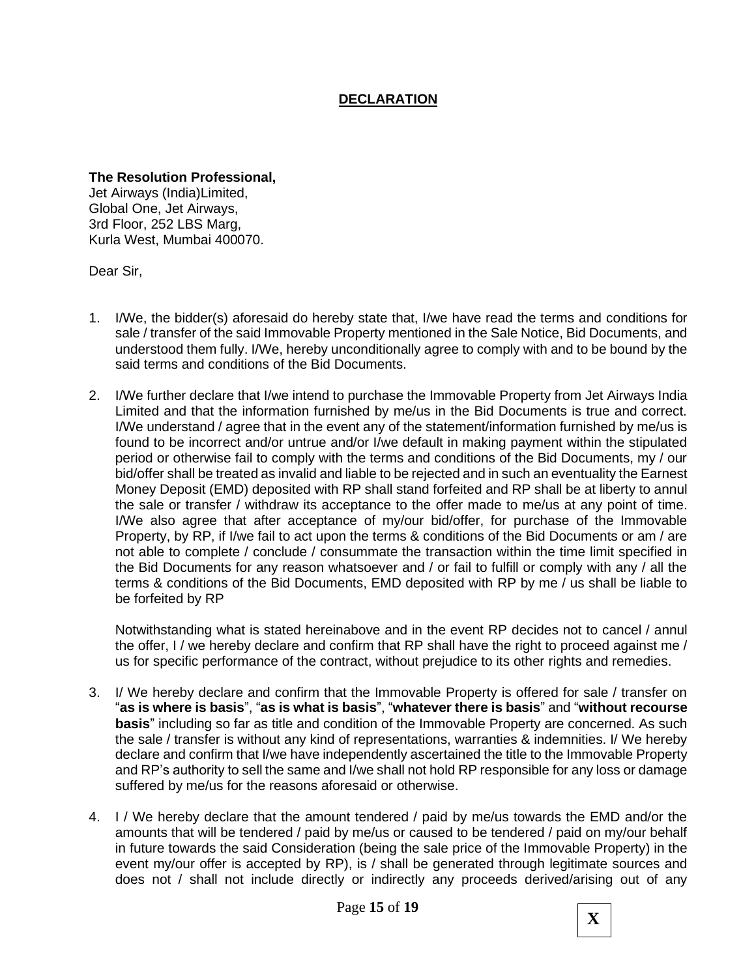## **DECLARATION**

**The Resolution Professional,** Jet Airways (India)Limited, Global One, Jet Airways, 3rd Floor, 252 LBS Marg, Kurla West, Mumbai 400070.

Dear Sir,

- 1. I/We, the bidder(s) aforesaid do hereby state that, I/we have read the terms and conditions for sale / transfer of the said Immovable Property mentioned in the Sale Notice, Bid Documents, and understood them fully. I/We, hereby unconditionally agree to comply with and to be bound by the said terms and conditions of the Bid Documents.
- 2. I/We further declare that I/we intend to purchase the Immovable Property from Jet Airways India Limited and that the information furnished by me/us in the Bid Documents is true and correct. I/We understand / agree that in the event any of the statement/information furnished by me/us is found to be incorrect and/or untrue and/or I/we default in making payment within the stipulated period or otherwise fail to comply with the terms and conditions of the Bid Documents, my / our bid/offer shall be treated as invalid and liable to be rejected and in such an eventuality the Earnest Money Deposit (EMD) deposited with RP shall stand forfeited and RP shall be at liberty to annul the sale or transfer / withdraw its acceptance to the offer made to me/us at any point of time. I/We also agree that after acceptance of my/our bid/offer, for purchase of the Immovable Property, by RP, if I/we fail to act upon the terms & conditions of the Bid Documents or am / are not able to complete / conclude / consummate the transaction within the time limit specified in the Bid Documents for any reason whatsoever and / or fail to fulfill or comply with any / all the terms & conditions of the Bid Documents, EMD deposited with RP by me / us shall be liable to be forfeited by RP

Notwithstanding what is stated hereinabove and in the event RP decides not to cancel / annul the offer, I / we hereby declare and confirm that RP shall have the right to proceed against me / us for specific performance of the contract, without prejudice to its other rights and remedies.

- 3. I/ We hereby declare and confirm that the Immovable Property is offered for sale / transfer on "**as is where is basis**", "**as is what is basis**", "**whatever there is basis**" and "**without recourse basis**" including so far as title and condition of the Immovable Property are concerned. As such the sale / transfer is without any kind of representations, warranties & indemnities. I/ We hereby declare and confirm that I/we have independently ascertained the title to the Immovable Property and RP's authority to sell the same and I/we shall not hold RP responsible for any loss or damage suffered by me/us for the reasons aforesaid or otherwise.
- 4. I / We hereby declare that the amount tendered / paid by me/us towards the EMD and/or the amounts that will be tendered / paid by me/us or caused to be tendered / paid on my/our behalf in future towards the said Consideration (being the sale price of the Immovable Property) in the event my/our offer is accepted by RP), is / shall be generated through legitimate sources and does not / shall not include directly or indirectly any proceeds derived/arising out of any

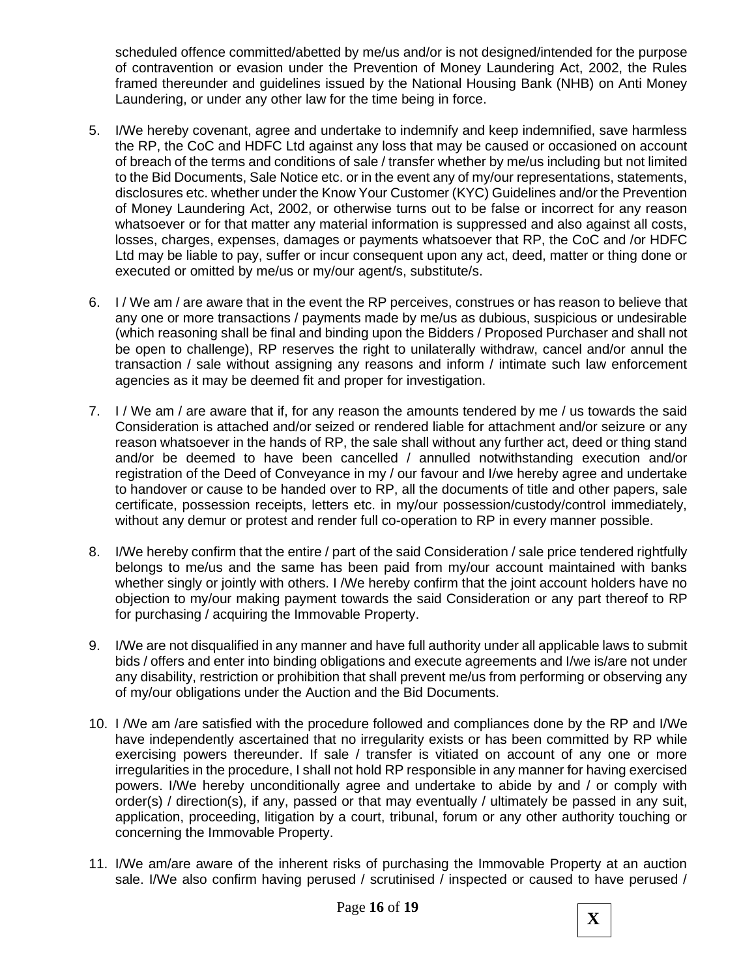scheduled offence committed/abetted by me/us and/or is not designed/intended for the purpose of contravention or evasion under the Prevention of Money Laundering Act, 2002, the Rules framed thereunder and guidelines issued by the National Housing Bank (NHB) on Anti Money Laundering, or under any other law for the time being in force.

- 5. I/We hereby covenant, agree and undertake to indemnify and keep indemnified, save harmless the RP, the CoC and HDFC Ltd against any loss that may be caused or occasioned on account of breach of the terms and conditions of sale / transfer whether by me/us including but not limited to the Bid Documents, Sale Notice etc. or in the event any of my/our representations, statements, disclosures etc. whether under the Know Your Customer (KYC) Guidelines and/or the Prevention of Money Laundering Act, 2002, or otherwise turns out to be false or incorrect for any reason whatsoever or for that matter any material information is suppressed and also against all costs, losses, charges, expenses, damages or payments whatsoever that RP, the CoC and /or HDFC Ltd may be liable to pay, suffer or incur consequent upon any act, deed, matter or thing done or executed or omitted by me/us or my/our agent/s, substitute/s.
- 6. I / We am / are aware that in the event the RP perceives, construes or has reason to believe that any one or more transactions / payments made by me/us as dubious, suspicious or undesirable (which reasoning shall be final and binding upon the Bidders / Proposed Purchaser and shall not be open to challenge), RP reserves the right to unilaterally withdraw, cancel and/or annul the transaction / sale without assigning any reasons and inform / intimate such law enforcement agencies as it may be deemed fit and proper for investigation.
- 7. I / We am / are aware that if, for any reason the amounts tendered by me / us towards the said Consideration is attached and/or seized or rendered liable for attachment and/or seizure or any reason whatsoever in the hands of RP, the sale shall without any further act, deed or thing stand and/or be deemed to have been cancelled / annulled notwithstanding execution and/or registration of the Deed of Conveyance in my / our favour and I/we hereby agree and undertake to handover or cause to be handed over to RP, all the documents of title and other papers, sale certificate, possession receipts, letters etc. in my/our possession/custody/control immediately, without any demur or protest and render full co-operation to RP in every manner possible.
- 8. I/We hereby confirm that the entire / part of the said Consideration / sale price tendered rightfully belongs to me/us and the same has been paid from my/our account maintained with banks whether singly or jointly with others. I /We hereby confirm that the joint account holders have no objection to my/our making payment towards the said Consideration or any part thereof to RP for purchasing / acquiring the Immovable Property.
- 9. I/We are not disqualified in any manner and have full authority under all applicable laws to submit bids / offers and enter into binding obligations and execute agreements and I/we is/are not under any disability, restriction or prohibition that shall prevent me/us from performing or observing any of my/our obligations under the Auction and the Bid Documents.
- 10. I /We am /are satisfied with the procedure followed and compliances done by the RP and I/We have independently ascertained that no irregularity exists or has been committed by RP while exercising powers thereunder. If sale / transfer is vitiated on account of any one or more irregularities in the procedure, I shall not hold RP responsible in any manner for having exercised powers. I/We hereby unconditionally agree and undertake to abide by and / or comply with order(s) / direction(s), if any, passed or that may eventually / ultimately be passed in any suit, application, proceeding, litigation by a court, tribunal, forum or any other authority touching or concerning the Immovable Property.
- 11. I/We am/are aware of the inherent risks of purchasing the Immovable Property at an auction sale. I/We also confirm having perused / scrutinised / inspected or caused to have perused /

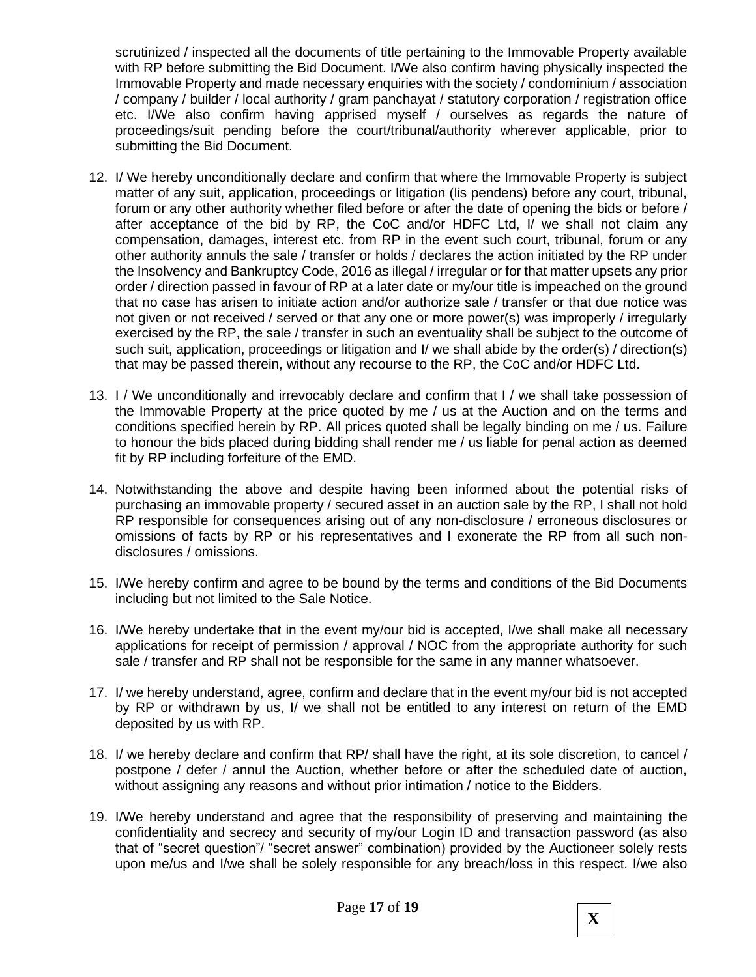scrutinized / inspected all the documents of title pertaining to the Immovable Property available with RP before submitting the Bid Document. I/We also confirm having physically inspected the Immovable Property and made necessary enquiries with the society / condominium / association / company / builder / local authority / gram panchayat / statutory corporation / registration office etc. I/We also confirm having apprised myself / ourselves as regards the nature of proceedings/suit pending before the court/tribunal/authority wherever applicable, prior to submitting the Bid Document.

- 12. I/ We hereby unconditionally declare and confirm that where the Immovable Property is subject matter of any suit, application, proceedings or litigation (lis pendens) before any court, tribunal, forum or any other authority whether filed before or after the date of opening the bids or before / after acceptance of the bid by RP, the CoC and/or HDFC Ltd, I/ we shall not claim any compensation, damages, interest etc. from RP in the event such court, tribunal, forum or any other authority annuls the sale / transfer or holds / declares the action initiated by the RP under the Insolvency and Bankruptcy Code, 2016 as illegal / irregular or for that matter upsets any prior order / direction passed in favour of RP at a later date or my/our title is impeached on the ground that no case has arisen to initiate action and/or authorize sale / transfer or that due notice was not given or not received / served or that any one or more power(s) was improperly / irregularly exercised by the RP, the sale / transfer in such an eventuality shall be subject to the outcome of such suit, application, proceedings or litigation and I/ we shall abide by the order(s) / direction(s) that may be passed therein, without any recourse to the RP, the CoC and/or HDFC Ltd.
- 13. I / We unconditionally and irrevocably declare and confirm that I / we shall take possession of the Immovable Property at the price quoted by me / us at the Auction and on the terms and conditions specified herein by RP. All prices quoted shall be legally binding on me / us. Failure to honour the bids placed during bidding shall render me / us liable for penal action as deemed fit by RP including forfeiture of the EMD.
- 14. Notwithstanding the above and despite having been informed about the potential risks of purchasing an immovable property / secured asset in an auction sale by the RP, I shall not hold RP responsible for consequences arising out of any non-disclosure / erroneous disclosures or omissions of facts by RP or his representatives and I exonerate the RP from all such nondisclosures / omissions.
- 15. I/We hereby confirm and agree to be bound by the terms and conditions of the Bid Documents including but not limited to the Sale Notice.
- 16. I/We hereby undertake that in the event my/our bid is accepted, I/we shall make all necessary applications for receipt of permission / approval / NOC from the appropriate authority for such sale / transfer and RP shall not be responsible for the same in any manner whatsoever.
- 17. I/ we hereby understand, agree, confirm and declare that in the event my/our bid is not accepted by RP or withdrawn by us, I/ we shall not be entitled to any interest on return of the EMD deposited by us with RP.
- 18. I/ we hereby declare and confirm that RP/ shall have the right, at its sole discretion, to cancel / postpone / defer / annul the Auction, whether before or after the scheduled date of auction, without assigning any reasons and without prior intimation / notice to the Bidders.
- 19. I/We hereby understand and agree that the responsibility of preserving and maintaining the confidentiality and secrecy and security of my/our Login ID and transaction password (as also that of "secret question"/ "secret answer" combination) provided by the Auctioneer solely rests upon me/us and I/we shall be solely responsible for any breach/loss in this respect. I/we also

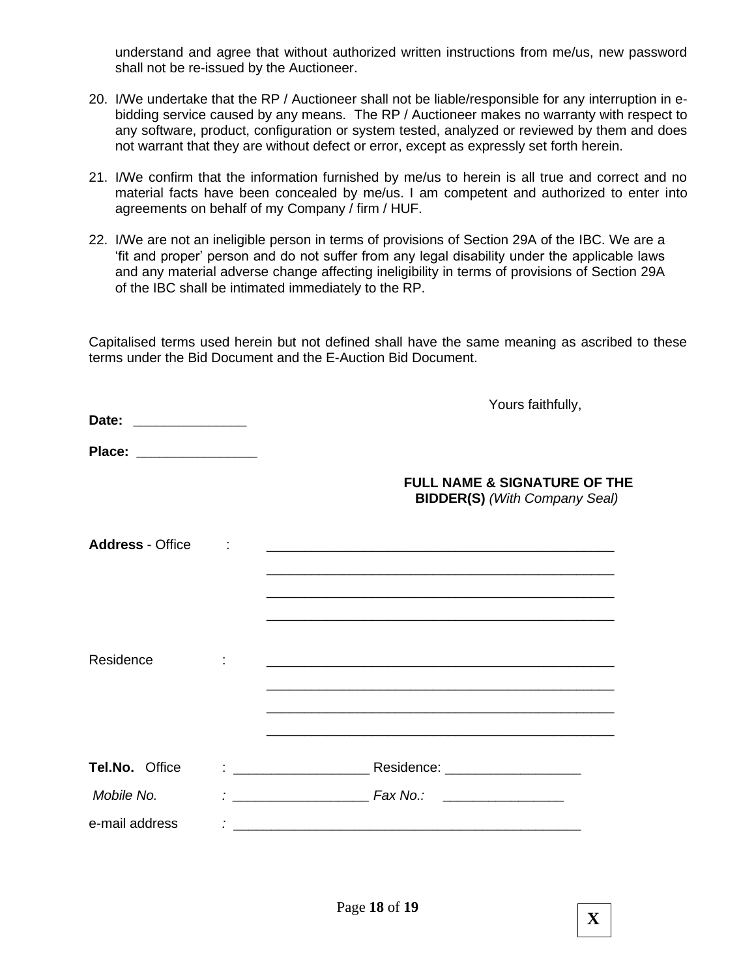understand and agree that without authorized written instructions from me/us, new password shall not be re-issued by the Auctioneer.

- 20. I/We undertake that the RP / Auctioneer shall not be liable/responsible for any interruption in ebidding service caused by any means. The RP / Auctioneer makes no warranty with respect to any software, product, configuration or system tested, analyzed or reviewed by them and does not warrant that they are without defect or error, except as expressly set forth herein.
- 21. I/We confirm that the information furnished by me/us to herein is all true and correct and no material facts have been concealed by me/us. I am competent and authorized to enter into agreements on behalf of my Company / firm / HUF.
- 22. I/We are not an ineligible person in terms of provisions of Section 29A of the IBC. We are a 'fit and proper' person and do not suffer from any legal disability under the applicable laws and any material adverse change affecting ineligibility in terms of provisions of Section 29A of the IBC shall be intimated immediately to the RP.

Capitalised terms used herein but not defined shall have the same meaning as ascribed to these terms under the Bid Document and the E-Auction Bid Document.

| Date:                                                                                                                               | Yours faithfully,                                                               |
|-------------------------------------------------------------------------------------------------------------------------------------|---------------------------------------------------------------------------------|
| Place:<br><u> Listen van die Stad van die Stad van die Stad van die Stad van die Stad van die Stad van die Stad van die Stad va</u> |                                                                                 |
|                                                                                                                                     | <b>FULL NAME &amp; SIGNATURE OF THE</b><br><b>BIDDER(S)</b> (With Company Seal) |
| <b>Address - Office</b>                                                                                                             | <u> 1980 - John Stein, Amerikaansk politiker (* 1918)</u>                       |
|                                                                                                                                     |                                                                                 |
| Residence                                                                                                                           |                                                                                 |
|                                                                                                                                     |                                                                                 |
| Tel.No. Office                                                                                                                      |                                                                                 |
| Mobile No.                                                                                                                          | <b>Fax No.:</b><br><u> 1990 - Andrea Maria Alemania (h. 19</u>                  |
| e-mail address                                                                                                                      |                                                                                 |